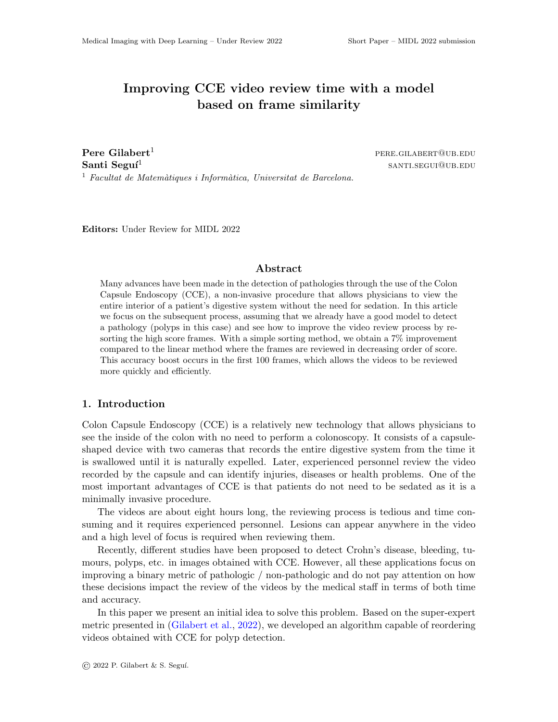# Improving CCE video review time with a model based on frame similarity

**Pere Gilabert<sup>1</sup>** pere.gilabert<sup>1</sup> pere.gilabert<sup>1</sup> Santi Seguí $^1$ <sup>1</sup> Facultat de Matemàtiques i Informàtica, Universitat de Barcelona.

santi.segui@ub.edu

Editors: Under Review for MIDL 2022

## Abstract

Many advances have been made in the detection of pathologies through the use of the Colon Capsule Endoscopy (CCE), a non-invasive procedure that allows physicians to view the entire interior of a patient's digestive system without the need for sedation. In this article we focus on the subsequent process, assuming that we already have a good model to detect a pathology (polyps in this case) and see how to improve the video review process by resorting the high score frames. With a simple sorting method, we obtain a 7% improvement compared to the linear method where the frames are reviewed in decreasing order of score. This accuracy boost occurs in the first 100 frames, which allows the videos to be reviewed more quickly and efficiently.

#### 1. Introduction

Colon Capsule Endoscopy (CCE) is a relatively new technology that allows physicians to see the inside of the colon with no need to perform a colonoscopy. It consists of a capsuleshaped device with two cameras that records the entire digestive system from the time it is swallowed until it is naturally expelled. Later, experienced personnel review the video recorded by the capsule and can identify injuries, diseases or health problems. One of the most important advantages of CCE is that patients do not need to be sedated as it is a minimally invasive procedure.

The videos are about eight hours long, the reviewing process is tedious and time consuming and it requires experienced personnel. Lesions can appear anywhere in the video and a high level of focus is required when reviewing them.

Recently, different studies have been proposed to detect Crohn's disease, bleeding, tumours, polyps, etc. in images obtained with CCE. However, all these applications focus on improving a binary metric of pathologic / non-pathologic and do not pay attention on how these decisions impact the review of the videos by the medical staff in terms of both time and accuracy.

In this paper we present an initial idea to solve this problem. Based on the super-expert metric presented in (Gilabert et al., 2022), we developed an algorithm capable of reordering videos obtained with CCE for polyp detection.